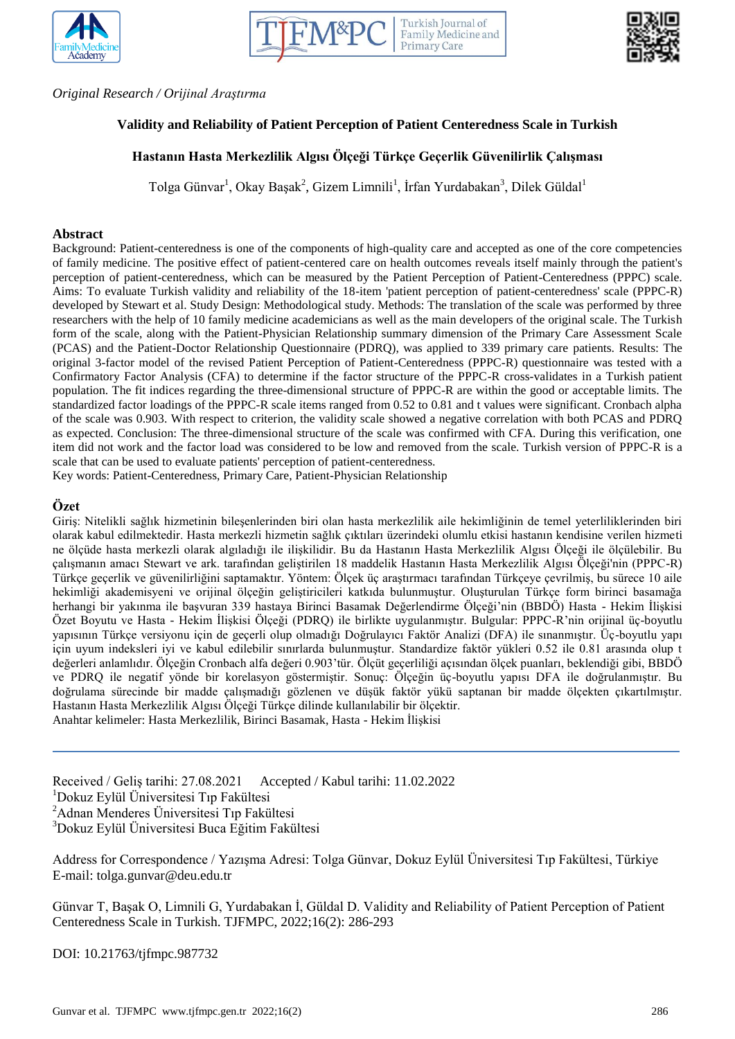





#### *Original Research / Orijinal Araştırma*

# **Validity and Reliability of Patient Perception of Patient Centeredness Scale in Turkish**

## **Hastanın Hasta Merkezlilik Algısı Ölçeği Türkçe Geçerlik Güvenilirlik Çalışması**

Tolga Günvar<sup>1</sup>, Okay Başak<sup>2</sup>, Gizem Limnili<sup>1</sup>, İrfan Yurdabakan<sup>3</sup>, Dilek Güldal<sup>1</sup>

#### **Abstract**

Background: Patient-centeredness is one of the components of high-quality care and accepted as one of the core competencies of family medicine. The positive effect of patient-centered care on health outcomes reveals itself mainly through the patient's perception of patient-centeredness, which can be measured by the Patient Perception of Patient-Centeredness (PPPC) scale. Aims: To evaluate Turkish validity and reliability of the 18-item 'patient perception of patient-centeredness' scale (PPPC-R) developed by Stewart et al. Study Design: Methodological study. Methods: The translation of the scale was performed by three researchers with the help of 10 family medicine academicians as well as the main developers of the original scale. The Turkish form of the scale, along with the Patient-Physician Relationship summary dimension of the Primary Care Assessment Scale (PCAS) and the Patient-Doctor Relationship Questionnaire (PDRQ), was applied to 339 primary care patients. Results: The original 3-factor model of the revised Patient Perception of Patient-Centeredness (PPPC-R) questionnaire was tested with a Confirmatory Factor Analysis (CFA) to determine if the factor structure of the PPPC-R cross-validates in a Turkish patient population. The fit indices regarding the three-dimensional structure of PPPC-R are within the good or acceptable limits. The standardized factor loadings of the PPPC-R scale items ranged from 0.52 to 0.81 and t values were significant. Cronbach alpha of the scale was 0.903. With respect to criterion, the validity scale showed a negative correlation with both PCAS and PDRQ as expected. Conclusion: The three-dimensional structure of the scale was confirmed with CFA. During this verification, one item did not work and the factor load was considered to be low and removed from the scale. Turkish version of PPPC-R is a scale that can be used to evaluate patients' perception of patient-centeredness.

Key words: Patient-Centeredness, Primary Care, Patient-Physician Relationship

### **Özet**

Giriş: Nitelikli sağlık hizmetinin bileşenlerinden biri olan hasta merkezlilik aile hekimliğinin de temel yeterliliklerinden biri olarak kabul edilmektedir. Hasta merkezli hizmetin sağlık çıktıları üzerindeki olumlu etkisi hastanın kendisine verilen hizmeti ne ölçüde hasta merkezli olarak algıladığı ile ilişkilidir. Bu da Hastanın Hasta Merkezlilik Algısı Ölçeği ile ölçülebilir. Bu çalışmanın amacı Stewart ve ark. tarafından geliştirilen 18 maddelik Hastanın Hasta Merkezlilik Algısı Ölçeği'nin (PPPC-R) Türkçe geçerlik ve güvenilirliğini saptamaktır. Yöntem: Ölçek üç araştırmacı tarafından Türkçeye çevrilmiş, bu sürece 10 aile hekimliği akademisyeni ve orijinal ölçeğin geliştiricileri katkıda bulunmuştur. Oluşturulan Türkçe form birinci basamağa herhangi bir yakınma ile başvuran 339 hastaya Birinci Basamak Değerlendirme Ölçeği'nin (BBDÖ) Hasta - Hekim İlişkisi Özet Boyutu ve Hasta - Hekim İlişkisi Ölçeği (PDRQ) ile birlikte uygulanmıştır. Bulgular: PPPC-R'nin orijinal üç-boyutlu yapısının Türkçe versiyonu için de geçerli olup olmadığı Doğrulayıcı Faktör Analizi (DFA) ile sınanmıştır. Üç-boyutlu yapı için uyum indeksleri iyi ve kabul edilebilir sınırlarda bulunmuştur. Standardize faktör yükleri 0.52 ile 0.81 arasında olup t değerleri anlamlıdır. Ölçeğin Cronbach alfa değeri 0.903'tür. Ölçüt geçerliliği açısından ölçek puanları, beklendiği gibi, BBDÖ ve PDRQ ile negatif yönde bir korelasyon göstermiştir. Sonuç: Ölçeğin üç-boyutlu yapısı DFA ile doğrulanmıştır. Bu doğrulama sürecinde bir madde çalışmadığı gözlenen ve düşük faktör yükü saptanan bir madde ölçekten çıkartılmıştır. Hastanın Hasta Merkezlilik Algısı Ölçeği Türkçe dilinde kullanılabilir bir ölçektir.

Anahtar kelimeler: Hasta Merkezlilik, Birinci Basamak, Hasta - Hekim İlişkisi

Received / Geliş tarihi: 27.08.2021 Accepted / Kabul tarihi: 11.02.2022 Dokuz Eylül Üniversitesi Tıp Fakültesi Adnan Menderes Üniversitesi Tıp Fakültesi Dokuz Eylül Üniversitesi Buca Eğitim Fakültesi

Address for Correspondence / Yazışma Adresi: Tolga Günvar, Dokuz Eylül Üniversitesi Tıp Fakültesi, Türkiye E-mail: tolga.gunvar@deu.edu.tr

Günvar T, Başak O, Limnili G, Yurdabakan İ, Güldal D. Validity and Reliability of Patient Perception of Patient Centeredness Scale in Turkish. TJFMPC, 2022;16(2): 286-293

DOI: 10.21763/tjfmpc.987732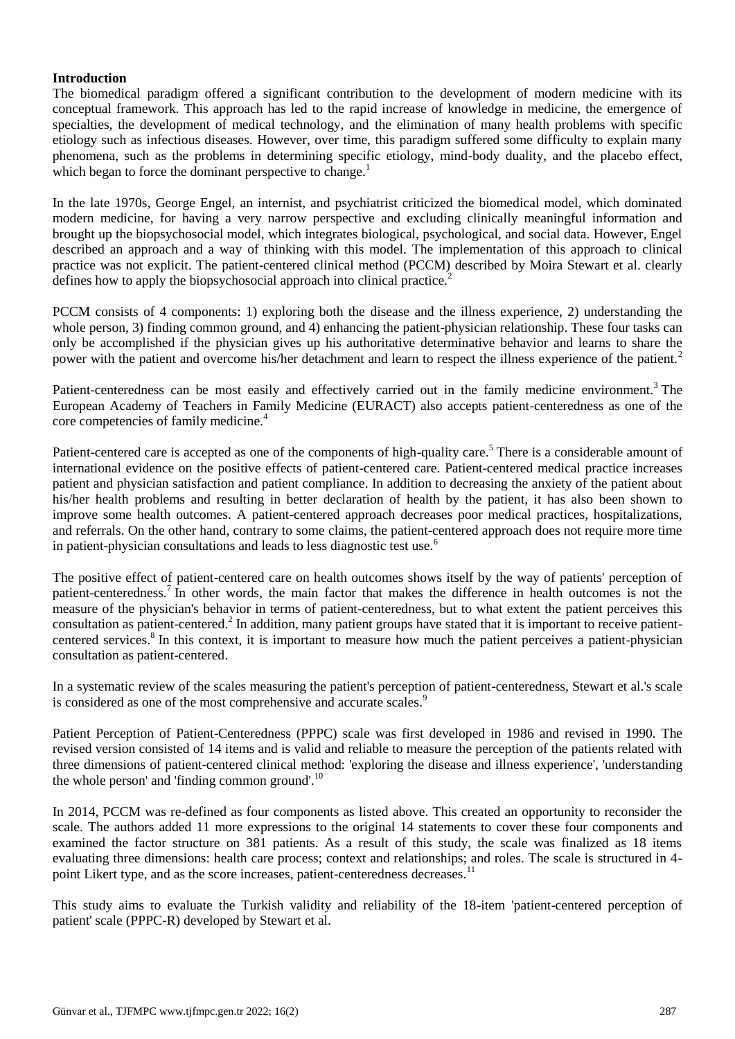## **Introduction**

The biomedical paradigm offered a significant contribution to the development of modern medicine with its conceptual framework. This approach has led to the rapid increase of knowledge in medicine, the emergence of specialties, the development of medical technology, and the elimination of many health problems with specific etiology such as infectious diseases. However, over time, this paradigm suffered some difficulty to explain many phenomena, such as the problems in determining specific etiology, mind-body duality, and the placebo effect, which began to force the dominant perspective to change.<sup>1</sup>

In the late 1970s, George Engel, an internist, and psychiatrist criticized the biomedical model, which dominated modern medicine, for having a very narrow perspective and excluding clinically meaningful information and brought up the biopsychosocial model, which integrates biological, psychological, and social data. However, Engel described an approach and a way of thinking with this model. The implementation of this approach to clinical practice was not explicit. The patient-centered clinical method (PCCM) described by Moira Stewart et al. clearly defines how to apply the biopsychosocial approach into clinical practice.<sup>2</sup>

PCCM consists of 4 components: 1) exploring both the disease and the illness experience, 2) understanding the whole person, 3) finding common ground, and 4) enhancing the patient-physician relationship. These four tasks can only be accomplished if the physician gives up his authoritative determinative behavior and learns to share the power with the patient and overcome his/her detachment and learn to respect the illness experience of the patient.<sup>2</sup>

Patient-centeredness can be most easily and effectively carried out in the family medicine environment.<sup>3</sup> The European Academy of Teachers in Family Medicine (EURACT) also accepts patient-centeredness as one of the core competencies of family medicine.<sup>4</sup>

Patient-centered care is accepted as one of the components of high-quality care.<sup>5</sup> There is a considerable amount of international evidence on the positive effects of patient-centered care. Patient-centered medical practice increases patient and physician satisfaction and patient compliance. In addition to decreasing the anxiety of the patient about his/her health problems and resulting in better declaration of health by the patient, it has also been shown to improve some health outcomes. A patient-centered approach decreases poor medical practices, hospitalizations, and referrals. On the other hand, contrary to some claims, the patient-centered approach does not require more time in patient-physician consultations and leads to less diagnostic test use.<sup>6</sup>

The positive effect of patient-centered care on health outcomes shows itself by the way of patients' perception of patient-centeredness.<sup>7</sup> In other words, the main factor that makes the difference in health outcomes is not the measure of the physician's behavior in terms of patient-centeredness, but to what extent the patient perceives this consultation as patient-centered.<sup>2</sup> In addition, many patient groups have stated that it is important to receive patientcentered services.<sup>8</sup> In this context, it is important to measure how much the patient perceives a patient-physician consultation as patient-centered.

In a systematic review of the scales measuring the patient's perception of patient-centeredness, Stewart et al.'s scale is considered as one of the most comprehensive and accurate scales.<sup>9</sup>

Patient Perception of Patient-Centeredness (PPPC) scale was first developed in 1986 and revised in 1990. The revised version consisted of 14 items and is valid and reliable to measure the perception of the patients related with three dimensions of patient-centered clinical method: 'exploring the disease and illness experience', 'understanding the whole person' and 'finding common ground'. $^{10}$ 

In 2014, PCCM was re-defined as four components as listed above. This created an opportunity to reconsider the scale. The authors added 11 more expressions to the original 14 statements to cover these four components and examined the factor structure on 381 patients. As a result of this study, the scale was finalized as 18 items evaluating three dimensions: health care process; context and relationships; and roles. The scale is structured in 4 point Likert type, and as the score increases, patient-centeredness decreases.<sup>11</sup>

This study aims to evaluate the Turkish validity and reliability of the 18-item 'patient-centered perception of patient' scale (PPPC-R) developed by Stewart et al.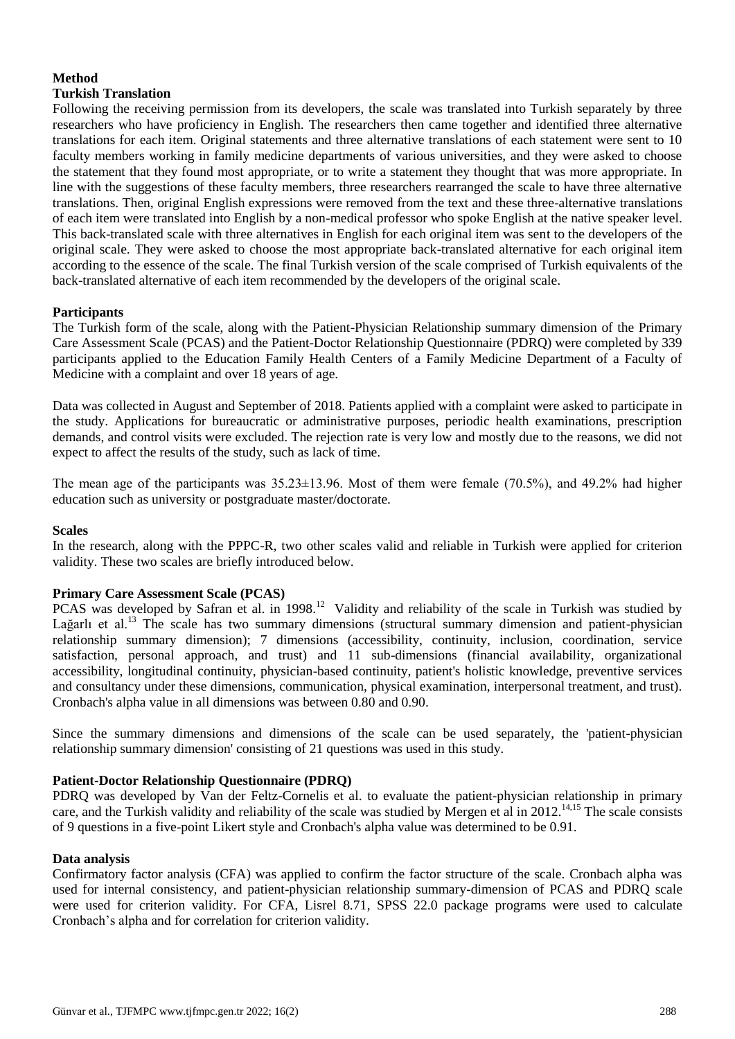# **Method**

## **Turkish Translation**

Following the receiving permission from its developers, the scale was translated into Turkish separately by three researchers who have proficiency in English. The researchers then came together and identified three alternative translations for each item. Original statements and three alternative translations of each statement were sent to 10 faculty members working in family medicine departments of various universities, and they were asked to choose the statement that they found most appropriate, or to write a statement they thought that was more appropriate. In line with the suggestions of these faculty members, three researchers rearranged the scale to have three alternative translations. Then, original English expressions were removed from the text and these three-alternative translations of each item were translated into English by a non-medical professor who spoke English at the native speaker level. This back-translated scale with three alternatives in English for each original item was sent to the developers of the original scale. They were asked to choose the most appropriate back-translated alternative for each original item according to the essence of the scale. The final Turkish version of the scale comprised of Turkish equivalents of the back-translated alternative of each item recommended by the developers of the original scale.

## **Participants**

The Turkish form of the scale, along with the Patient-Physician Relationship summary dimension of the Primary Care Assessment Scale (PCAS) and the Patient-Doctor Relationship Questionnaire (PDRQ) were completed by 339 participants applied to the Education Family Health Centers of a Family Medicine Department of a Faculty of Medicine with a complaint and over 18 years of age.

Data was collected in August and September of 2018. Patients applied with a complaint were asked to participate in the study. Applications for bureaucratic or administrative purposes, periodic health examinations, prescription demands, and control visits were excluded. The rejection rate is very low and mostly due to the reasons, we did not expect to affect the results of the study, such as lack of time.

The mean age of the participants was 35.23±13.96. Most of them were female (70.5%), and 49.2% had higher education such as university or postgraduate master/doctorate.

### **Scales**

In the research, along with the PPPC-R, two other scales valid and reliable in Turkish were applied for criterion validity. These two scales are briefly introduced below.

### **Primary Care Assessment Scale (PCAS)**

PCAS was developed by Safran et al. in 1998.<sup>12</sup> Validity and reliability of the scale in Turkish was studied by Lağarlı et al.<sup>13</sup> The scale has two summary dimensions (structural summary dimension and patient-physician relationship summary dimension); 7 dimensions (accessibility, continuity, inclusion, coordination, service satisfaction, personal approach, and trust) and 11 sub-dimensions (financial availability, organizational accessibility, longitudinal continuity, physician-based continuity, patient's holistic knowledge, preventive services and consultancy under these dimensions, communication, physical examination, interpersonal treatment, and trust). Cronbach's alpha value in all dimensions was between 0.80 and 0.90.

Since the summary dimensions and dimensions of the scale can be used separately, the 'patient-physician relationship summary dimension' consisting of 21 questions was used in this study.

## **Patient-Doctor Relationship Questionnaire (PDRQ)**

PDRQ was developed by Van der Feltz-Cornelis et al. to evaluate the patient-physician relationship in primary care, and the Turkish validity and reliability of the scale was studied by Mergen et al in 2012.<sup>14,15</sup> The scale consists of 9 questions in a five-point Likert style and Cronbach's alpha value was determined to be 0.91.

### **Data analysis**

Confirmatory factor analysis (CFA) was applied to confirm the factor structure of the scale. Cronbach alpha was used for internal consistency, and patient-physician relationship summary-dimension of PCAS and PDRQ scale were used for criterion validity. For CFA, Lisrel 8.71, SPSS 22.0 package programs were used to calculate Cronbach's alpha and for correlation for criterion validity.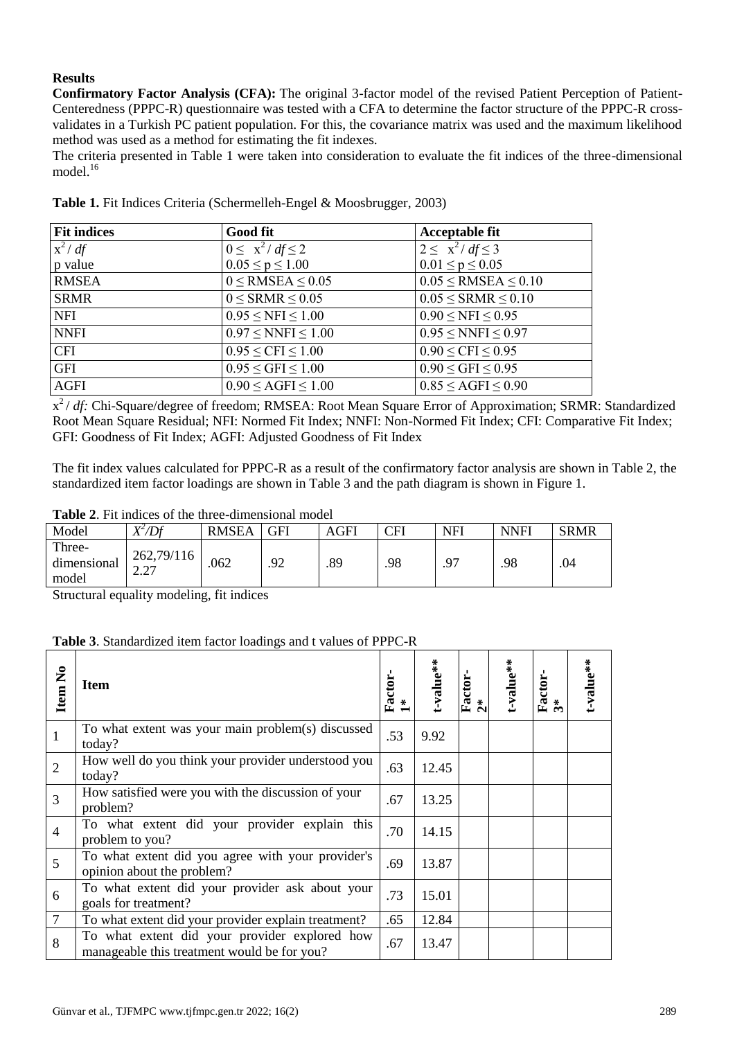# **Results**

**Confirmatory Factor Analysis (CFA):** The original 3-factor model of the revised Patient Perception of Patient-Centeredness (PPPC-R) questionnaire was tested with a CFA to determine the factor structure of the PPPC-R crossvalidates in a Turkish PC patient population. For this, the covariance matrix was used and the maximum likelihood method was used as a method for estimating the fit indexes.

The criteria presented in Table 1 were taken into consideration to evaluate the fit indices of the three-dimensional model $16$ 

| <b>Fit indices</b> | <b>Good fit</b>                   | <b>Acceptable fit</b>         |
|--------------------|-----------------------------------|-------------------------------|
| $x^2$ / df         | $0 \leq x^2 / df \leq 2$          | $2 \leq x^2 / df \leq 3$      |
| p value            | $0.05 \le p \le 1.00$             | $0.01 \le p \le 0.05$         |
| <b>RMSEA</b>       | $0 \leq$ RMSEA $\leq 0.05$        | $0.05 \leq$ RMSEA $\leq 0.10$ |
| <b>SRMR</b>        | $0 \leq$ SRMR $\leq$ 0.05         | $0.05 \leq$ SRMR $\leq 0.10$  |
| <b>NFI</b>         | $0.95 \leq NFI \leq 1.00$         | $0.90 \leq NFI \leq 0.95$     |
| <b>NNFI</b>        | $0.97 \leq NNFI \leq 1.00$        | $0.95 \leq NNFI \leq 0.97$    |
| <b>CFI</b>         | $0.95 \leq CFI \leq 1.00$         | $0.90 \leq CFI \leq 0.95$     |
| <b>GFI</b>         | $0.95 \leq$ GFI $\leq 1.00$       | $0.90 \leq$ GFI $\leq 0.95$   |
| <b>AGFI</b>        | $0.90 \leq \text{AGFI} \leq 1.00$ | $0.85 \leq AGFI \leq 0.90$    |

**Table 1.** Fit Indices Criteria (Schermelleh-Engel & Moosbrugger, 2003)

x<sup>2</sup>/ *df*: Chi-Square/degree of freedom; RMSEA: Root Mean Square Error of Approximation; SRMR: Standardized Root Mean Square Residual; NFI: Normed Fit Index; NNFI: Non-Normed Fit Index; CFI: Comparative Fit Index; GFI: Goodness of Fit Index; AGFI: Adjusted Goodness of Fit Index

The fit index values calculated for PPPC-R as a result of the confirmatory factor analysis are shown in Table 2, the standardized item factor loadings are shown in Table 3 and the path diagram is shown in Figure 1.

**Table 2**. Fit indices of the three-dimensional model

| Model                          | X <del>′</del> /Df           | <b>RMSEA</b> | GFI       | AGFI | CFI | <b>NFI</b> | <b>NNFI</b> | <b>SRMR</b> |
|--------------------------------|------------------------------|--------------|-----------|------|-----|------------|-------------|-------------|
| Three-<br>dimensional<br>model | 262,79/116<br>$\overline{a}$ | .062         | 92<br>ت ر | .89  | .98 | $\Omega$   | .98         | .04         |

Structural equality modeling, fit indices

### **Table 3**. Standardized item factor loadings and t values of PPPC-R

| Item No         | <b>Item</b>                                                                                  | Factor | -value** | Factor<br>$\overset{*}{\Omega}$ | -value** | Factor-<br>3* | t-value** |
|-----------------|----------------------------------------------------------------------------------------------|--------|----------|---------------------------------|----------|---------------|-----------|
| $\overline{1}$  | To what extent was your main problem(s) discussed<br>today?                                  | .53    | 9.92     |                                 |          |               |           |
| 2               | How well do you think your provider understood you<br>today?                                 | .63    | 12.45    |                                 |          |               |           |
| $\overline{3}$  | How satisfied were you with the discussion of your<br>problem?                               | .67    | 13.25    |                                 |          |               |           |
| $\overline{4}$  | To what extent did your provider explain this<br>problem to you?                             | .70    | 14.15    |                                 |          |               |           |
| 5               | To what extent did you agree with your provider's<br>opinion about the problem?              | .69    | 13.87    |                                 |          |               |           |
| 6               | To what extent did your provider ask about your<br>goals for treatment?                      | .73    | 15.01    |                                 |          |               |           |
| $7\phantom{.0}$ | To what extent did your provider explain treatment?                                          | .65    | 12.84    |                                 |          |               |           |
| 8               | To what extent did your provider explored how<br>manageable this treatment would be for you? | .67    | 13.47    |                                 |          |               |           |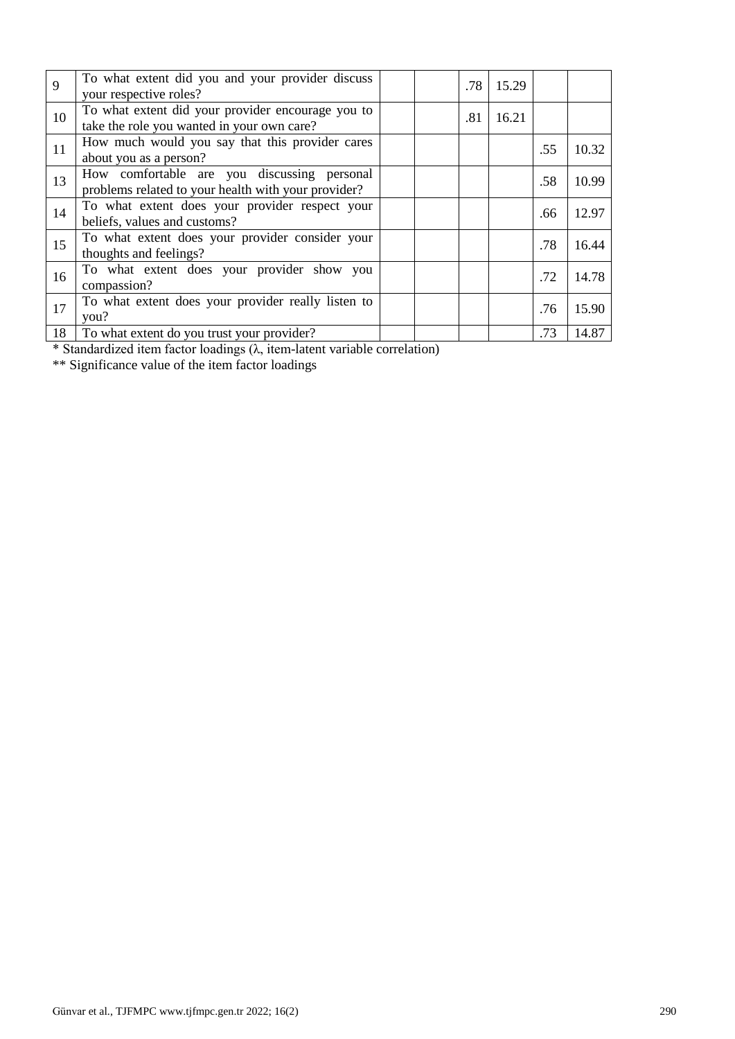| 9  | To what extent did you and your provider discuss<br>your respective roles?                         |  | .78 | 15.29 |     |       |
|----|----------------------------------------------------------------------------------------------------|--|-----|-------|-----|-------|
| 10 | To what extent did your provider encourage you to<br>take the role you wanted in your own care?    |  | .81 | 16.21 |     |       |
| 11 | How much would you say that this provider cares<br>about you as a person?                          |  |     |       | .55 | 10.32 |
| 13 | How comfortable are you discussing personal<br>problems related to your health with your provider? |  |     |       | .58 | 10.99 |
| 14 | To what extent does your provider respect your<br>beliefs, values and customs?                     |  |     |       | .66 | 12.97 |
| 15 | To what extent does your provider consider your<br>thoughts and feelings?                          |  |     |       | .78 | 16.44 |
| 16 | To what extent does your provider show you<br>compassion?                                          |  |     |       | .72 | 14.78 |
| 17 | To what extent does your provider really listen to<br>you?                                         |  |     |       | .76 | 15.90 |
| 18 | To what extent do you trust your provider?                                                         |  |     |       | .73 | 14.87 |

\* Standardized item factor loadings (λ, item-latent variable correlation)

\*\* Significance value of the item factor loadings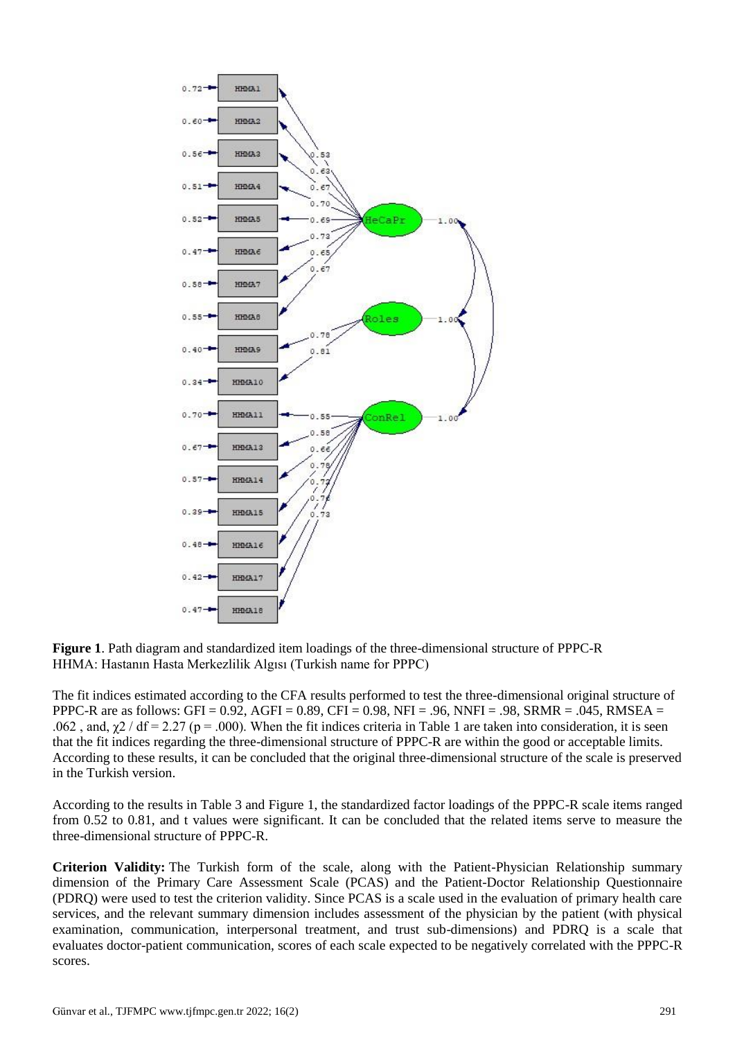

**Figure 1**. Path diagram and standardized item loadings of the three-dimensional structure of PPPC-R HHMA: Hastanın Hasta Merkezlilik Algısı (Turkish name for PPPC)

The fit indices estimated according to the CFA results performed to test the three-dimensional original structure of PPPC-R are as follows:  $GFI = 0.92$ ,  $AGFI = 0.89$ ,  $CFI = 0.98$ ,  $NFI = .96$ ,  $NNFI = .98$ ,  $SRMR = .045$ ,  $RMSEA =$ .062, and,  $\gamma$ 2 / df = 2.27 (p = .000). When the fit indices criteria in Table 1 are taken into consideration, it is seen that the fit indices regarding the three-dimensional structure of PPPC-R are within the good or acceptable limits. According to these results, it can be concluded that the original three-dimensional structure of the scale is preserved in the Turkish version.

According to the results in Table 3 and Figure 1, the standardized factor loadings of the PPPC-R scale items ranged from 0.52 to 0.81, and t values were significant. It can be concluded that the related items serve to measure the three-dimensional structure of PPPC-R.

**Criterion Validity:** The Turkish form of the scale, along with the Patient-Physician Relationship summary dimension of the Primary Care Assessment Scale (PCAS) and the Patient-Doctor Relationship Questionnaire (PDRQ) were used to test the criterion validity. Since PCAS is a scale used in the evaluation of primary health care services, and the relevant summary dimension includes assessment of the physician by the patient (with physical examination, communication, interpersonal treatment, and trust sub-dimensions) and PDRQ is a scale that evaluates doctor-patient communication, scores of each scale expected to be negatively correlated with the PPPC-R scores.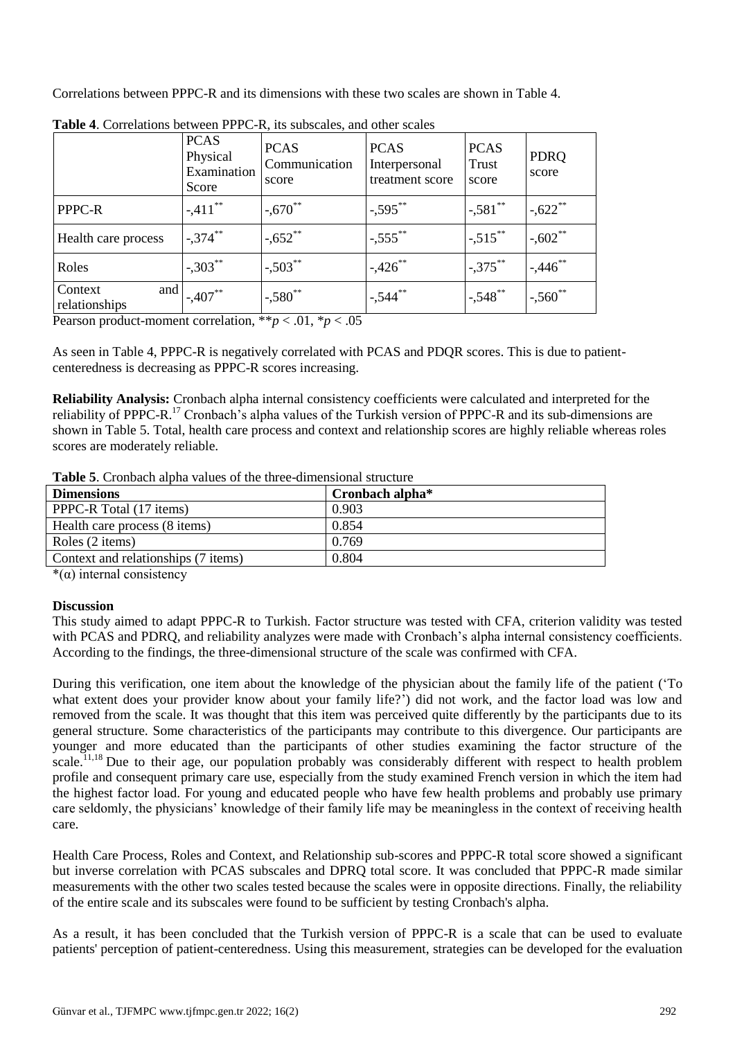Correlations between PPPC-R and its dimensions with these two scales are shown in Table 4.

|                                 | <b>PCAS</b><br>Physical<br>Examination<br>Score | <b>PCAS</b><br>Communication<br>score | <b>PCAS</b><br>Interpersonal<br>treatment score | <b>PCAS</b><br>Trust<br>score | <b>PDRO</b><br>score |
|---------------------------------|-------------------------------------------------|---------------------------------------|-------------------------------------------------|-------------------------------|----------------------|
| PPPC-R                          | $-.411$ **                                      | $-.670**$                             | $-.595***$                                      | $-.581$ **                    | $-.622**$            |
| Health care process             | $1,374$ **                                      | $-.652**$                             | $-.555$ **                                      | $1 - 515$ **                  | $-.602**$            |
| Roles                           | $-.303***$                                      | $-.503$ **                            | $-.426$ **                                      | $1,375$ **                    | $-.446$ **           |
| and<br>Context<br>relationships | $-.407**$                                       | $1 - 580$ **                          | $-544$                                          | $1 - 548$ **                  | $-560$ <sup>**</sup> |

**Table 4**. Correlations between PPPC-R, its subscales, and other scales

Pearson product-moment correlation, \*\**p* < .01, \**p* < .05

As seen in Table 4, PPPC-R is negatively correlated with PCAS and PDQR scores. This is due to patientcenteredness is decreasing as PPPC-R scores increasing.

**Reliability Analysis:** Cronbach alpha internal consistency coefficients were calculated and interpreted for the reliability of PPPC-R.<sup>17</sup> Cronbach's alpha values of the Turkish version of PPPC-R and its sub-dimensions are shown in Table 5. Total, health care process and context and relationship scores are highly reliable whereas roles scores are moderately reliable.

| Table 5. Cronbach alpha values of the three-dimensional structure |
|-------------------------------------------------------------------|
|-------------------------------------------------------------------|

| <b>Dimensions</b>                   | Cronbach alpha <sup>*</sup> |
|-------------------------------------|-----------------------------|
| PPPC-R Total (17 items)             | 0.903                       |
| Health care process (8 items)       | 0.854                       |
| Roles (2 items)                     | 0.769                       |
| Context and relationships (7 items) | 0.804                       |

 $*(\alpha)$  internal consistency

### **Discussion**

This study aimed to adapt PPPC-R to Turkish. Factor structure was tested with CFA, criterion validity was tested with PCAS and PDRO, and reliability analyzes were made with Cronbach's alpha internal consistency coefficients. According to the findings, the three-dimensional structure of the scale was confirmed with CFA.

During this verification, one item about the knowledge of the physician about the family life of the patient ('To what extent does your provider know about your family life?') did not work, and the factor load was low and removed from the scale. It was thought that this item was perceived quite differently by the participants due to its general structure. Some characteristics of the participants may contribute to this divergence. Our participants are younger and more educated than the participants of other studies examining the factor structure of the scale.<sup>11,18</sup> Due to their age, our population probably was considerably different with respect to health problem profile and consequent primary care use, especially from the study examined French version in which the item had the highest factor load. For young and educated people who have few health problems and probably use primary care seldomly, the physicians' knowledge of their family life may be meaningless in the context of receiving health care.

Health Care Process, Roles and Context, and Relationship sub-scores and PPPC-R total score showed a significant but inverse correlation with PCAS subscales and DPRQ total score. It was concluded that PPPC-R made similar measurements with the other two scales tested because the scales were in opposite directions. Finally, the reliability of the entire scale and its subscales were found to be sufficient by testing Cronbach's alpha.

As a result, it has been concluded that the Turkish version of PPPC-R is a scale that can be used to evaluate patients' perception of patient-centeredness. Using this measurement, strategies can be developed for the evaluation